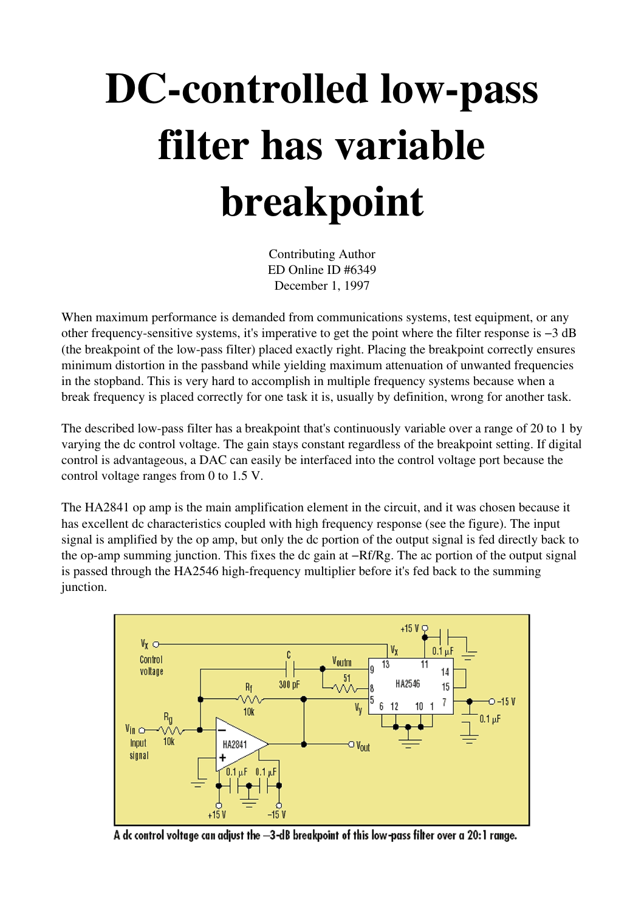## DC-controlled low-pass filter has variable breakpoint

Contributing Author ED Online ID #6349 December 1, 1997

When maximum performance is demanded from communications systems, test equipment, or any other frequency-sensitive systems, it's imperative to get the point where the filter response is –3 dB (the breakpoint of the lowpass filter) placed exactly right. Placing the breakpoint correctly ensures minimum distortion in the passband while yielding maximum attenuation of unwanted frequencies in the stopband. This is very hard to accomplish in multiple frequency systems because when a break frequency is placed correctly for one task it is, usually by definition, wrong for another task.

The described low-pass filter has a breakpoint that's continuously variable over a range of 20 to 1 by varying the dc control voltage. The gain stays constant regardless of the breakpoint setting. If digital control is advantageous, a DAC can easily be interfaced into the control voltage port because the control voltage ranges from 0 to 1.5 V.

The HA2841 op amp is the main amplification element in the circuit, and it was chosen because it has excellent dc characteristics coupled with high frequency response (see the figure). The input signal is amplified by the op amp, but only the dc portion of the output signal is fed directly back to the op-amp summing junction. This fixes the dc gain at −Rf/Rg. The ac portion of the output signal is passed through the HA2546 high-frequency multiplier before it's fed back to the summing junction.



A dc control voltage can adjust the -3-dB breakpoint of this low-pass filter over a 20:1 range.